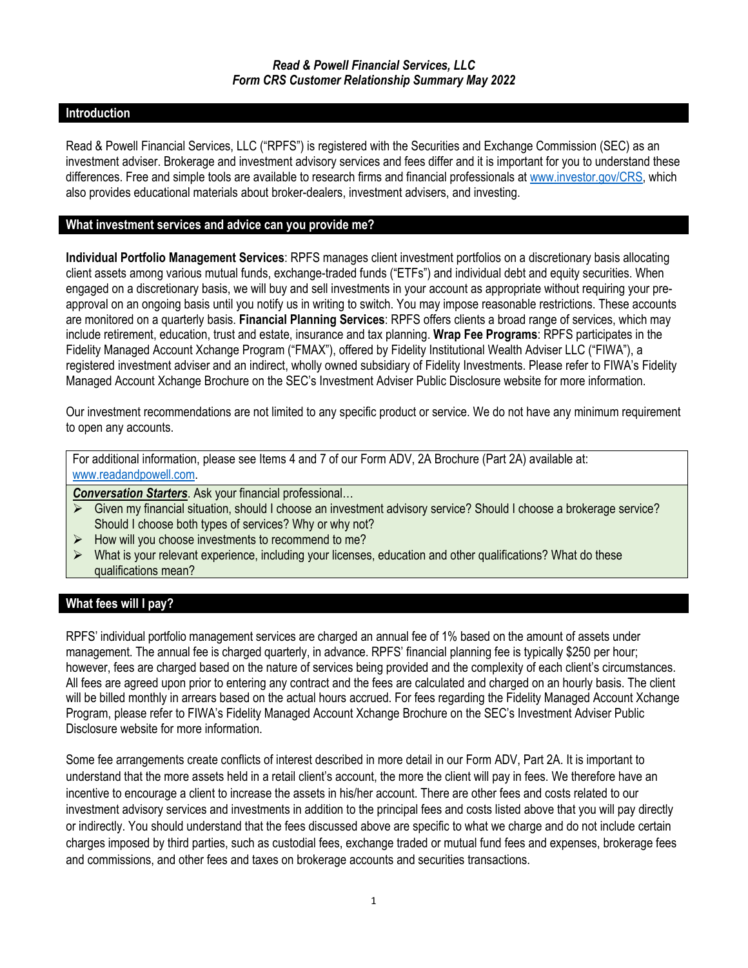#### **Introduction**

Read & Powell Financial Services, LLC ("RPFS") is registered with the Securities and Exchange Commission (SEC) as an investment adviser. Brokerage and investment advisory services and fees differ and it is important for you to understand these differences. Free and simple tools are available to research firms and financial professionals at [www.investor.gov/CRS,](http://www.investor.gov/CRS) which also provides educational materials about broker-dealers, investment advisers, and investing.

#### **What investment services and advice can you provide me?**

**Individual Portfolio Management Services**: RPFS manages client investment portfolios on a discretionary basis allocating client assets among various mutual funds, exchange-traded funds ("ETFs") and individual debt and equity securities. When engaged on a discretionary basis, we will buy and sell investments in your account as appropriate without requiring your preapproval on an ongoing basis until you notify us in writing to switch. You may impose reasonable restrictions. These accounts are monitored on a quarterly basis. **Financial Planning Services**: RPFS offers clients a broad range of services, which may include retirement, education, trust and estate, insurance and tax planning. **Wrap Fee Programs**: RPFS participates in the Fidelity Managed Account Xchange Program ("FMAX"), offered by Fidelity Institutional Wealth Adviser LLC ("FIWA"), a registered investment adviser and an indirect, wholly owned subsidiary of Fidelity Investments. Please refer to FIWA's Fidelity Managed Account Xchange Brochure on the SEC's Investment Adviser Public Disclosure website for more information.

Our investment recommendations are not limited to any specific product or service. We do not have any minimum requirement to open any accounts.

For additional information, please see Items 4 and 7 of our Form ADV, 2A Brochure (Part 2A) available at: [www.readandpowell.com.](http://www.readandpowell.com/)

*Conversation Starters*. Ask your financial professional…

- Given my financial situation, should I choose an investment advisory service? Should I choose a brokerage service? Should I choose both types of services? Why or why not?
- $\triangleright$  How will you choose investments to recommend to me?
- $\triangleright$  What is your relevant experience, including your licenses, education and other qualifications? What do these qualifications mean?

# **What fees will I pay?**

RPFS' individual portfolio management services are charged an annual fee of 1% based on the amount of assets under management. The annual fee is charged quarterly, in advance. RPFS' financial planning fee is typically \$250 per hour; however, fees are charged based on the nature of services being provided and the complexity of each client's circumstances. All fees are agreed upon prior to entering any contract and the fees are calculated and charged on an hourly basis. The client will be billed monthly in arrears based on the actual hours accrued. For fees regarding the Fidelity Managed Account Xchange Program, please refer to FIWA's Fidelity Managed Account Xchange Brochure on the SEC's Investment Adviser Public Disclosure website for more information.

Some fee arrangements create conflicts of interest described in more detail in our Form ADV, Part 2A. It is important to understand that the more assets held in a retail client's account, the more the client will pay in fees. We therefore have an incentive to encourage a client to increase the assets in his/her account. There are other fees and costs related to our investment advisory services and investments in addition to the principal fees and costs listed above that you will pay directly or indirectly. You should understand that the fees discussed above are specific to what we charge and do not include certain charges imposed by third parties, such as custodial fees, exchange traded or mutual fund fees and expenses, brokerage fees and commissions, and other fees and taxes on brokerage accounts and securities transactions.